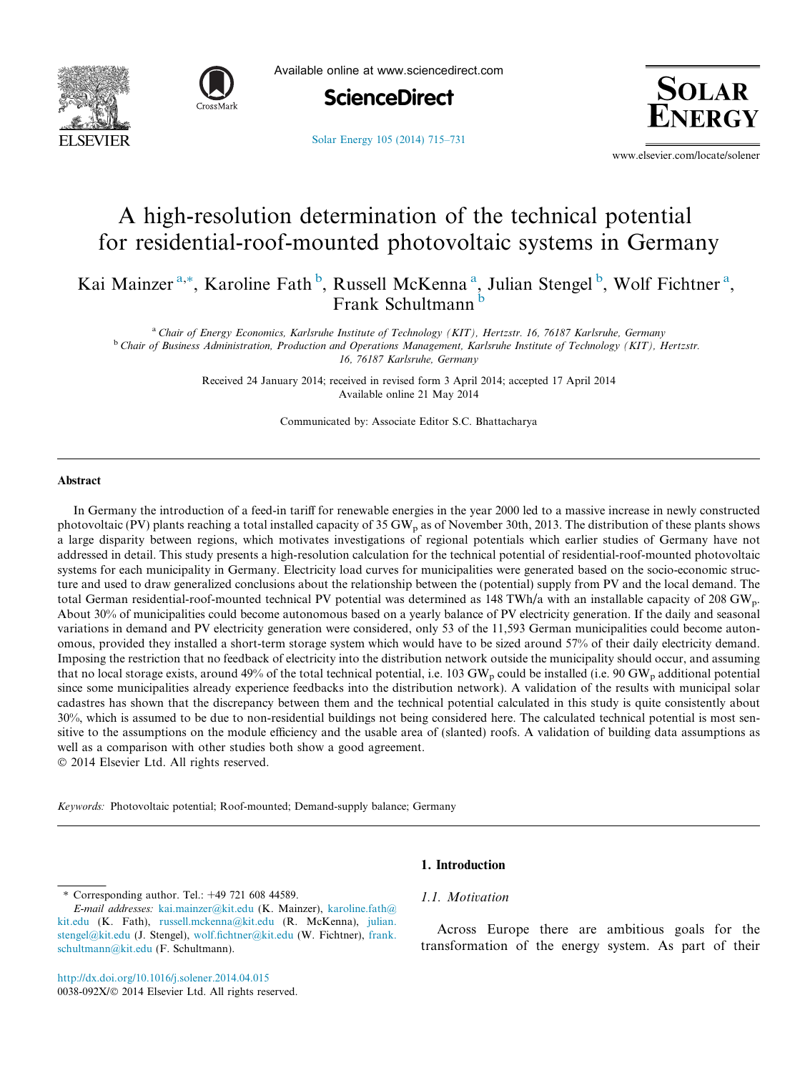



Available online at www.sciencedirect.com



**SOLAR** 

[Solar Energy 105 \(2014\) 715–731](http://dx.doi.org/10.1016/j.solener.2014.04.015)

www.elsevier.com/locate/solener

# A high-resolution determination of the technical potential for residential-roof-mounted photovoltaic systems in Germany

Kai Mainzer<sup>a,\*</sup>, Karoline Fath<sup>b</sup>, Russell McKenna<sup>a</sup>, Julian Stengel<sup>b</sup>, Wolf Fichtner<sup>a</sup>, Frank Schultmann<sup>b</sup>

<sup>a</sup> Chair of Energy Economics, Karlsruhe Institute of Technology (KIT), Hertzstr. 16, 76187 Karlsruhe, Germany <sup>b</sup> Chair of Business Administration, Production and Operations Management, Karlsruhe Institute of Technology (KIT), Hertzstr. 16, 76187 Karlsruhe, Germany

> Received 24 January 2014; received in revised form 3 April 2014; accepted 17 April 2014 Available online 21 May 2014

> > Communicated by: Associate Editor S.C. Bhattacharya

#### Abstract

In Germany the introduction of a feed-in tariff for renewable energies in the year 2000 led to a massive increase in newly constructed photovoltaic (PV) plants reaching a total installed capacity of 35 GW<sub>p</sub> as of November 30th, 2013. The distribution of these plants shows a large disparity between regions, which motivates investigations of regional potentials which earlier studies of Germany have not addressed in detail. This study presents a high-resolution calculation for the technical potential of residential-roof-mounted photovoltaic systems for each municipality in Germany. Electricity load curves for municipalities were generated based on the socio-economic structure and used to draw generalized conclusions about the relationship between the (potential) supply from PV and the local demand. The total German residential-roof-mounted technical PV potential was determined as 148 TWh/a with an installable capacity of 208 GWp. About 30% of municipalities could become autonomous based on a yearly balance of PV electricity generation. If the daily and seasonal variations in demand and PV electricity generation were considered, only 53 of the 11,593 German municipalities could become autonomous, provided they installed a short-term storage system which would have to be sized around 57% of their daily electricity demand. Imposing the restriction that no feedback of electricity into the distribution network outside the municipality should occur, and assuming that no local storage exists, around 49% of the total technical potential, i.e. 103 GW<sub>p</sub> could be installed (i.e. 90 GW<sub>p</sub> additional potential since some municipalities already experience feedbacks into the distribution network). A validation of the results with municipal solar cadastres has shown that the discrepancy between them and the technical potential calculated in this study is quite consistently about 30%, which is assumed to be due to non-residential buildings not being considered here. The calculated technical potential is most sensitive to the assumptions on the module efficiency and the usable area of (slanted) roofs. A validation of building data assumptions as well as a comparison with other studies both show a good agreement.

 $©$  2014 Elsevier Ltd. All rights reserved.

Keywords: Photovoltaic potential; Roof-mounted; Demand-supply balance; Germany

Corresponding author. Tel.: +49 721 608 44589.

#### 1. Introduction

### 1.1. Motivation

Across Europe there are ambitious goals for the transformation of the energy system. As part of their

E-mail addresses: [kai.mainzer@kit.edu](mailto:kai.mainzer@kit.edu) (K. Mainzer), [karoline.fath@](mailto:karoline.fath@kit.edu) [kit.edu](mailto:karoline.fath@kit.edu) (K. Fath), [russell.mckenna@kit.edu](mailto:russell.mckenna@kit.edu) (R. McKenna), [julian.](mailto:julian.stengel@kit.edu) [stengel@kit.edu](mailto:julian.stengel@kit.edu) (J. Stengel), [wolf.fichtner@kit.edu](mailto:wolf.fichtner@kit.edu) (W. Fichtner), [frank.](mailto:frank.schultmann@kit.edu) [schultmann@kit.edu](mailto:frank.schultmann@kit.edu) (F. Schultmann).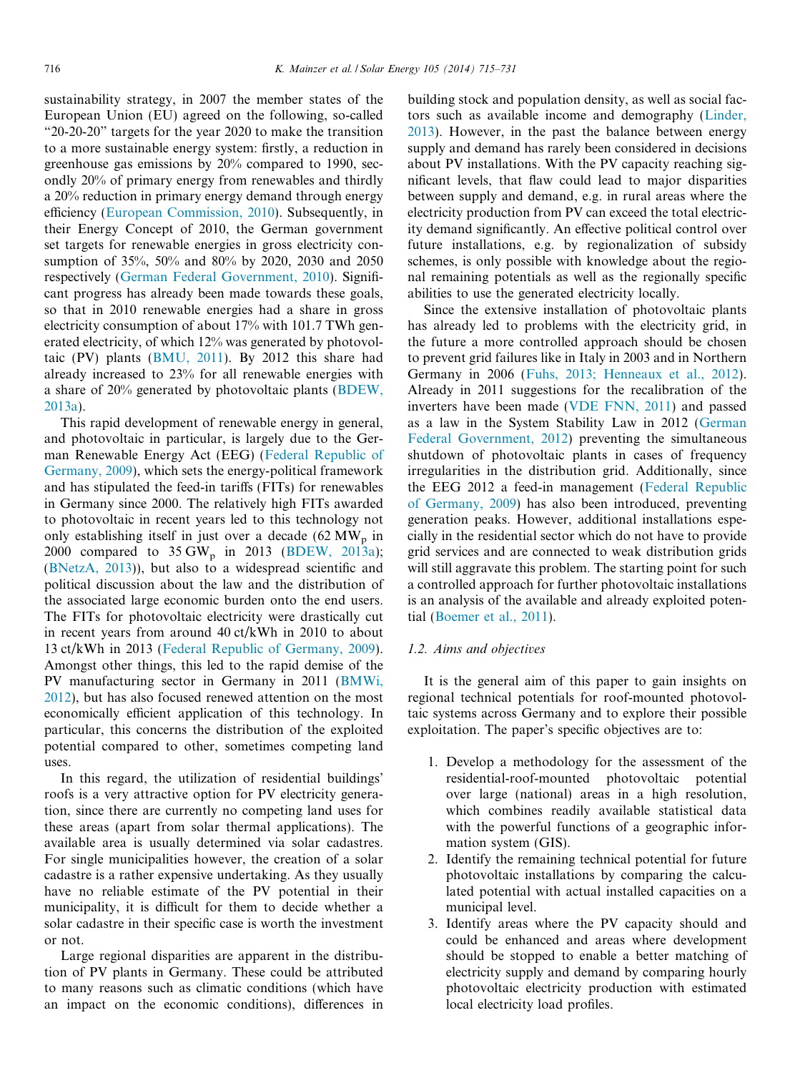sustainability strategy, in 2007 the member states of the European Union (EU) agreed on the following, so-called "20-20-20" targets for the year 2020 to make the transition to a more sustainable energy system: firstly, a reduction in greenhouse gas emissions by 20% compared to 1990, secondly 20% of primary energy from renewables and thirdly a 20% reduction in primary energy demand through energy efficiency [\(European Commission, 2010](#page--1-0)). Subsequently, in their Energy Concept of 2010, the German government set targets for renewable energies in gross electricity consumption of 35%, 50% and 80% by 2020, 2030 and 2050 respectively ([German Federal Government, 2010\)](#page--1-0). Significant progress has already been made towards these goals, so that in 2010 renewable energies had a share in gross electricity consumption of about 17% with 101.7 TWh generated electricity, of which 12% was generated by photovoltaic (PV) plants [\(BMU, 2011\)](#page--1-0). By 2012 this share had already increased to 23% for all renewable energies with a share of 20% generated by photovoltaic plants ([BDEW,](#page--1-0) [2013a\)](#page--1-0).

This rapid development of renewable energy in general, and photovoltaic in particular, is largely due to the German Renewable Energy Act (EEG) ([Federal Republic of](#page--1-0) [Germany, 2009](#page--1-0)), which sets the energy-political framework and has stipulated the feed-in tariffs (FITs) for renewables in Germany since 2000. The relatively high FITs awarded to photovoltaic in recent years led to this technology not only establishing itself in just over a decade  $(62 \text{ MW}_{p})$  in 2000 compared to  $35 \text{ GW}$ <sub>p</sub> in 2013 ([BDEW, 2013a\)](#page--1-0); [\(BNetzA, 2013\)](#page--1-0)), but also to a widespread scientific and political discussion about the law and the distribution of the associated large economic burden onto the end users. The FITs for photovoltaic electricity were drastically cut in recent years from around 40 ct/kWh in 2010 to about 13 ct/kWh in 2013 [\(Federal Republic of Germany, 2009\)](#page--1-0). Amongst other things, this led to the rapid demise of the PV manufacturing sector in Germany in 2011 ([BMWi,](#page--1-0) [2012\)](#page--1-0), but has also focused renewed attention on the most economically efficient application of this technology. In particular, this concerns the distribution of the exploited potential compared to other, sometimes competing land uses.

In this regard, the utilization of residential buildings' roofs is a very attractive option for PV electricity generation, since there are currently no competing land uses for these areas (apart from solar thermal applications). The available area is usually determined via solar cadastres. For single municipalities however, the creation of a solar cadastre is a rather expensive undertaking. As they usually have no reliable estimate of the PV potential in their municipality, it is difficult for them to decide whether a solar cadastre in their specific case is worth the investment or not.

Large regional disparities are apparent in the distribution of PV plants in Germany. These could be attributed to many reasons such as climatic conditions (which have an impact on the economic conditions), differences in

building stock and population density, as well as social factors such as available income and demography [\(Linder,](#page--1-0) [2013\)](#page--1-0). However, in the past the balance between energy supply and demand has rarely been considered in decisions about PV installations. With the PV capacity reaching significant levels, that flaw could lead to major disparities between supply and demand, e.g. in rural areas where the electricity production from PV can exceed the total electricity demand significantly. An effective political control over future installations, e.g. by regionalization of subsidy schemes, is only possible with knowledge about the regional remaining potentials as well as the regionally specific abilities to use the generated electricity locally.

Since the extensive installation of photovoltaic plants has already led to problems with the electricity grid, in the future a more controlled approach should be chosen to prevent grid failures like in Italy in 2003 and in Northern Germany in 2006 [\(Fuhs, 2013; Henneaux et al., 2012\)](#page--1-0). Already in 2011 suggestions for the recalibration of the inverters have been made [\(VDE FNN, 2011](#page--1-0)) and passed as a law in the System Stability Law in 2012 ([German](#page--1-0) [Federal Government, 2012](#page--1-0)) preventing the simultaneous shutdown of photovoltaic plants in cases of frequency irregularities in the distribution grid. Additionally, since the EEG 2012 a feed-in management [\(Federal Republic](#page--1-0) [of Germany, 2009](#page--1-0)) has also been introduced, preventing generation peaks. However, additional installations especially in the residential sector which do not have to provide grid services and are connected to weak distribution grids will still aggravate this problem. The starting point for such a controlled approach for further photovoltaic installations is an analysis of the available and already exploited potential [\(Boemer et al., 2011\)](#page--1-0).

### 1.2. Aims and objectives

It is the general aim of this paper to gain insights on regional technical potentials for roof-mounted photovoltaic systems across Germany and to explore their possible exploitation. The paper's specific objectives are to:

- 1. Develop a methodology for the assessment of the residential-roof-mounted photovoltaic potential over large (national) areas in a high resolution, which combines readily available statistical data with the powerful functions of a geographic information system (GIS).
- 2. Identify the remaining technical potential for future photovoltaic installations by comparing the calculated potential with actual installed capacities on a municipal level.
- 3. Identify areas where the PV capacity should and could be enhanced and areas where development should be stopped to enable a better matching of electricity supply and demand by comparing hourly photovoltaic electricity production with estimated local electricity load profiles.